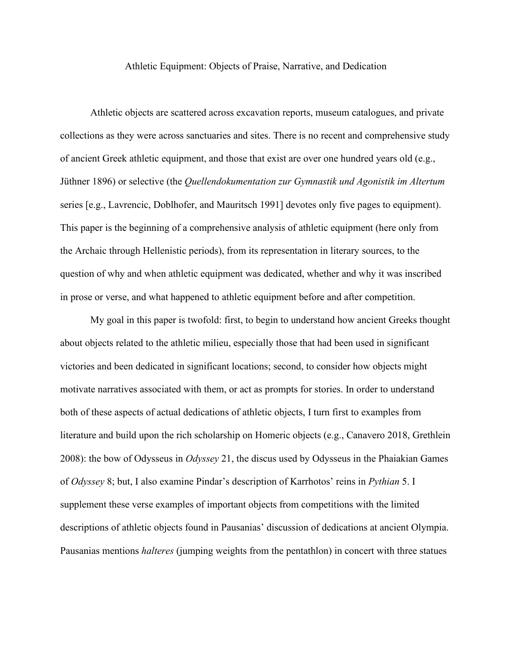Athletic Equipment: Objects of Praise, Narrative, and Dedication

Athletic objects are scattered across excavation reports, museum catalogues, and private collections as they were across sanctuaries and sites. There is no recent and comprehensive study of ancient Greek athletic equipment, and those that exist are over one hundred years old (e.g., Jüthner 1896) or selective (the *Quellendokumentation zur Gymnastik und Agonistik im Altertum* series [e.g., Lavrencic, Doblhofer, and Mauritsch 1991] devotes only five pages to equipment). This paper is the beginning of a comprehensive analysis of athletic equipment (here only from the Archaic through Hellenistic periods), from its representation in literary sources, to the question of why and when athletic equipment was dedicated, whether and why it was inscribed in prose or verse, and what happened to athletic equipment before and after competition.

My goal in this paper is twofold: first, to begin to understand how ancient Greeks thought about objects related to the athletic milieu, especially those that had been used in significant victories and been dedicated in significant locations; second, to consider how objects might motivate narratives associated with them, or act as prompts for stories. In order to understand both of these aspects of actual dedications of athletic objects, I turn first to examples from literature and build upon the rich scholarship on Homeric objects (e.g., Canavero 2018, Grethlein 2008): the bow of Odysseus in *Odyssey* 21, the discus used by Odysseus in the Phaiakian Games of *Odyssey* 8; but, I also examine Pindar's description of Karrhotos' reins in *Pythian* 5. I supplement these verse examples of important objects from competitions with the limited descriptions of athletic objects found in Pausanias' discussion of dedications at ancient Olympia. Pausanias mentions *halteres* (jumping weights from the pentathlon) in concert with three statues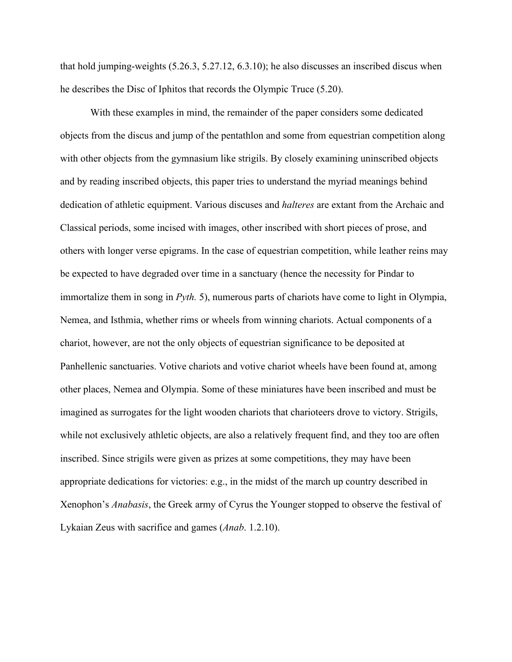that hold jumping-weights (5.26.3, 5.27.12, 6.3.10); he also discusses an inscribed discus when he describes the Disc of Iphitos that records the Olympic Truce (5.20).

With these examples in mind, the remainder of the paper considers some dedicated objects from the discus and jump of the pentathlon and some from equestrian competition along with other objects from the gymnasium like strigils. By closely examining uninscribed objects and by reading inscribed objects, this paper tries to understand the myriad meanings behind dedication of athletic equipment. Various discuses and *halteres* are extant from the Archaic and Classical periods, some incised with images, other inscribed with short pieces of prose, and others with longer verse epigrams. In the case of equestrian competition, while leather reins may be expected to have degraded over time in a sanctuary (hence the necessity for Pindar to immortalize them in song in *Pyth.* 5), numerous parts of chariots have come to light in Olympia, Nemea, and Isthmia, whether rims or wheels from winning chariots. Actual components of a chariot, however, are not the only objects of equestrian significance to be deposited at Panhellenic sanctuaries. Votive chariots and votive chariot wheels have been found at, among other places, Nemea and Olympia. Some of these miniatures have been inscribed and must be imagined as surrogates for the light wooden chariots that charioteers drove to victory. Strigils, while not exclusively athletic objects, are also a relatively frequent find, and they too are often inscribed. Since strigils were given as prizes at some competitions, they may have been appropriate dedications for victories: e.g., in the midst of the march up country described in Xenophon's *Anabasis*, the Greek army of Cyrus the Younger stopped to observe the festival of Lykaian Zeus with sacrifice and games (*Anab*. 1.2.10).